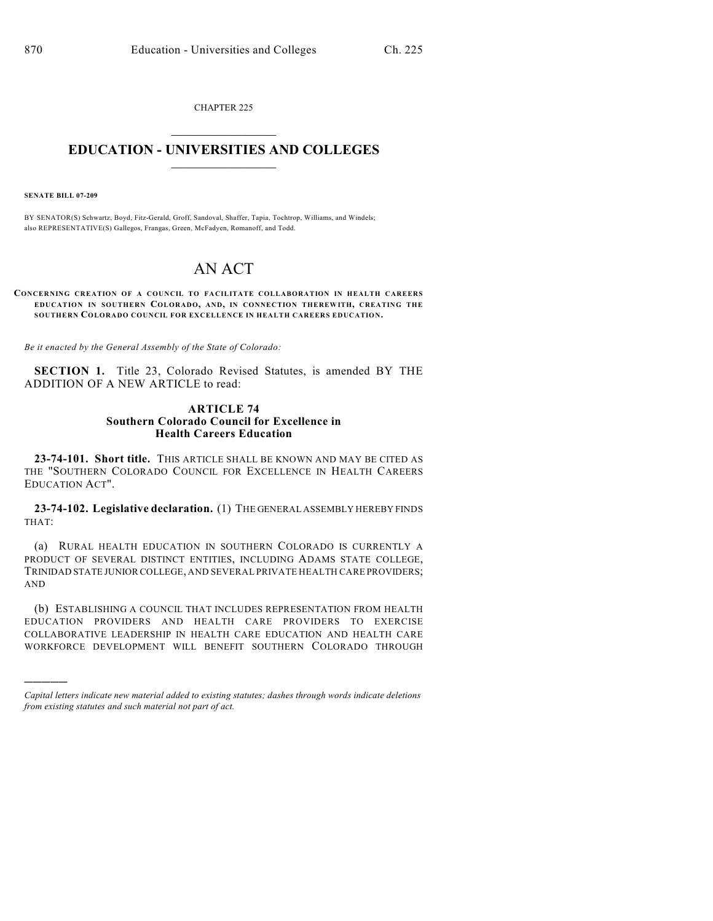CHAPTER 225  $\overline{\phantom{a}}$  . The set of the set of the set of the set of the set of the set of the set of the set of the set of the set of the set of the set of the set of the set of the set of the set of the set of the set of the set o

## **EDUCATION - UNIVERSITIES AND COLLEGES**  $\_$

**SENATE BILL 07-209**

)))))

BY SENATOR(S) Schwartz, Boyd, Fitz-Gerald, Groff, Sandoval, Shaffer, Tapia, Tochtrop, Williams, and Windels; also REPRESENTATIVE(S) Gallegos, Frangas, Green, McFadyen, Romanoff, and Todd.

## AN ACT

**CONCERNING CREATION OF A COUNCIL TO FACILITATE COLLABORATION IN HEALTH CAREERS EDUCATION IN SOUTHERN COLORADO, AND, IN CONNECTION THEREWITH, CREATING THE SOUTHERN COLORADO COUNCIL FOR EXCELLENCE IN HEALTH CAREERS EDUCATION.**

*Be it enacted by the General Assembly of the State of Colorado:*

**SECTION 1.** Title 23, Colorado Revised Statutes, is amended BY THE ADDITION OF A NEW ARTICLE to read:

## **ARTICLE 74 Southern Colorado Council for Excellence in Health Careers Education**

**23-74-101. Short title.** THIS ARTICLE SHALL BE KNOWN AND MAY BE CITED AS THE "SOUTHERN COLORADO COUNCIL FOR EXCELLENCE IN HEALTH CAREERS EDUCATION ACT".

**23-74-102. Legislative declaration.** (1) THE GENERAL ASSEMBLY HEREBY FINDS THAT:

(a) RURAL HEALTH EDUCATION IN SOUTHERN COLORADO IS CURRENTLY A PRODUCT OF SEVERAL DISTINCT ENTITIES, INCLUDING ADAMS STATE COLLEGE, TRINIDAD STATE JUNIOR COLLEGE, AND SEVERAL PRIVATE HEALTH CARE PROVIDERS; AND

(b) ESTABLISHING A COUNCIL THAT INCLUDES REPRESENTATION FROM HEALTH EDUCATION PROVIDERS AND HEALTH CARE PROVIDERS TO EXERCISE COLLABORATIVE LEADERSHIP IN HEALTH CARE EDUCATION AND HEALTH CARE WORKFORCE DEVELOPMENT WILL BENEFIT SOUTHERN COLORADO THROUGH

*Capital letters indicate new material added to existing statutes; dashes through words indicate deletions from existing statutes and such material not part of act.*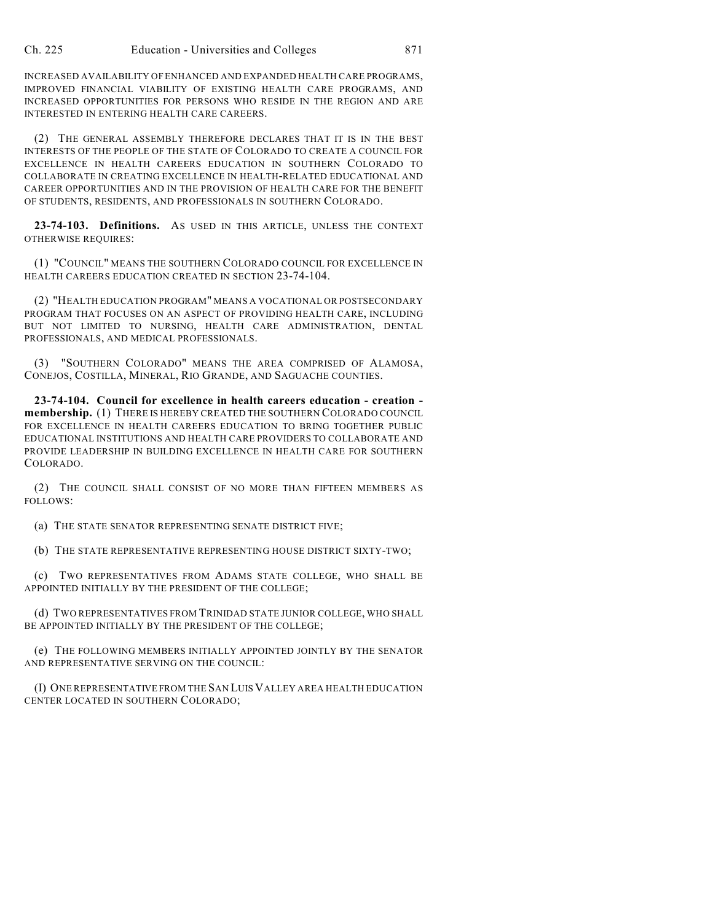INCREASED AVAILABILITY OFENHANCED AND EXPANDED HEALTH CARE PROGRAMS, IMPROVED FINANCIAL VIABILITY OF EXISTING HEALTH CARE PROGRAMS, AND INCREASED OPPORTUNITIES FOR PERSONS WHO RESIDE IN THE REGION AND ARE INTERESTED IN ENTERING HEALTH CARE CAREERS.

(2) THE GENERAL ASSEMBLY THEREFORE DECLARES THAT IT IS IN THE BEST INTERESTS OF THE PEOPLE OF THE STATE OF COLORADO TO CREATE A COUNCIL FOR EXCELLENCE IN HEALTH CAREERS EDUCATION IN SOUTHERN COLORADO TO COLLABORATE IN CREATING EXCELLENCE IN HEALTH-RELATED EDUCATIONAL AND CAREER OPPORTUNITIES AND IN THE PROVISION OF HEALTH CARE FOR THE BENEFIT OF STUDENTS, RESIDENTS, AND PROFESSIONALS IN SOUTHERN COLORADO.

**23-74-103. Definitions.** AS USED IN THIS ARTICLE, UNLESS THE CONTEXT OTHERWISE REQUIRES:

(1) "COUNCIL" MEANS THE SOUTHERN COLORADO COUNCIL FOR EXCELLENCE IN HEALTH CAREERS EDUCATION CREATED IN SECTION 23-74-104.

(2) "HEALTH EDUCATION PROGRAM" MEANS A VOCATIONAL OR POSTSECONDARY PROGRAM THAT FOCUSES ON AN ASPECT OF PROVIDING HEALTH CARE, INCLUDING BUT NOT LIMITED TO NURSING, HEALTH CARE ADMINISTRATION, DENTAL PROFESSIONALS, AND MEDICAL PROFESSIONALS.

(3) "SOUTHERN COLORADO" MEANS THE AREA COMPRISED OF ALAMOSA, CONEJOS, COSTILLA, MINERAL, RIO GRANDE, AND SAGUACHE COUNTIES.

**23-74-104. Council for excellence in health careers education - creation membership.** (1) THERE IS HEREBY CREATED THE SOUTHERN COLORADO COUNCIL FOR EXCELLENCE IN HEALTH CAREERS EDUCATION TO BRING TOGETHER PUBLIC EDUCATIONAL INSTITUTIONS AND HEALTH CARE PROVIDERS TO COLLABORATE AND PROVIDE LEADERSHIP IN BUILDING EXCELLENCE IN HEALTH CARE FOR SOUTHERN COLORADO.

(2) THE COUNCIL SHALL CONSIST OF NO MORE THAN FIFTEEN MEMBERS AS FOLLOWS:

(a) THE STATE SENATOR REPRESENTING SENATE DISTRICT FIVE;

(b) THE STATE REPRESENTATIVE REPRESENTING HOUSE DISTRICT SIXTY-TWO;

(c) TWO REPRESENTATIVES FROM ADAMS STATE COLLEGE, WHO SHALL BE APPOINTED INITIALLY BY THE PRESIDENT OF THE COLLEGE;

(d) TWO REPRESENTATIVES FROM TRINIDAD STATE JUNIOR COLLEGE, WHO SHALL BE APPOINTED INITIALLY BY THE PRESIDENT OF THE COLLEGE;

(e) THE FOLLOWING MEMBERS INITIALLY APPOINTED JOINTLY BY THE SENATOR AND REPRESENTATIVE SERVING ON THE COUNCIL:

(I) ONE REPRESENTATIVE FROM THE SAN LUIS VALLEY AREA HEALTH EDUCATION CENTER LOCATED IN SOUTHERN COLORADO;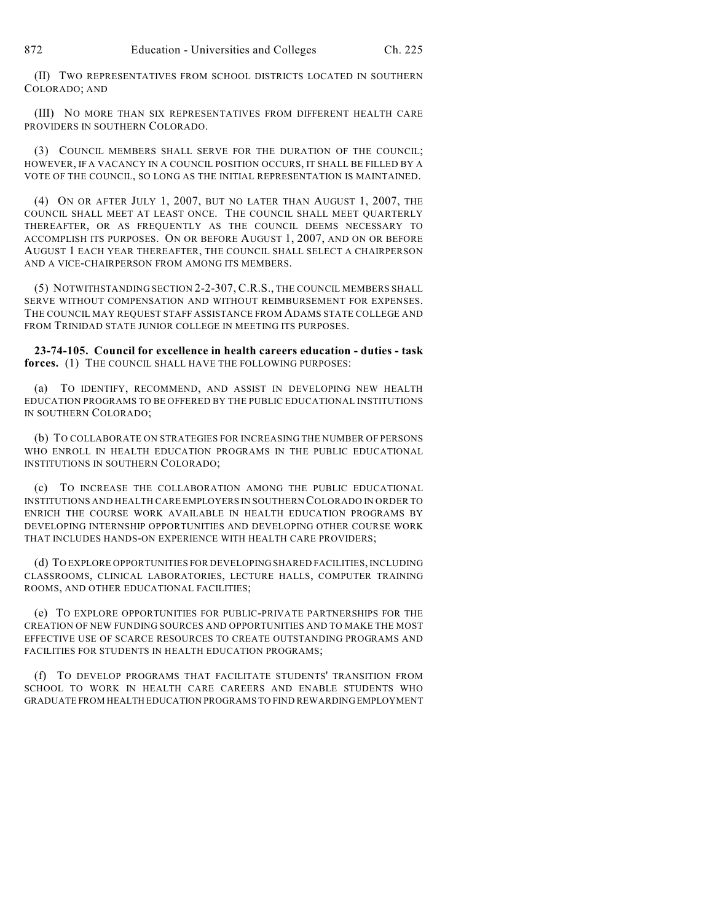(II) TWO REPRESENTATIVES FROM SCHOOL DISTRICTS LOCATED IN SOUTHERN COLORADO; AND

(III) NO MORE THAN SIX REPRESENTATIVES FROM DIFFERENT HEALTH CARE PROVIDERS IN SOUTHERN COLORADO.

(3) COUNCIL MEMBERS SHALL SERVE FOR THE DURATION OF THE COUNCIL; HOWEVER, IF A VACANCY IN A COUNCIL POSITION OCCURS, IT SHALL BE FILLED BY A VOTE OF THE COUNCIL, SO LONG AS THE INITIAL REPRESENTATION IS MAINTAINED.

(4) ON OR AFTER JULY 1, 2007, BUT NO LATER THAN AUGUST 1, 2007, THE COUNCIL SHALL MEET AT LEAST ONCE. THE COUNCIL SHALL MEET QUARTERLY THEREAFTER, OR AS FREQUENTLY AS THE COUNCIL DEEMS NECESSARY TO ACCOMPLISH ITS PURPOSES. ON OR BEFORE AUGUST 1, 2007, AND ON OR BEFORE AUGUST 1 EACH YEAR THEREAFTER, THE COUNCIL SHALL SELECT A CHAIRPERSON AND A VICE-CHAIRPERSON FROM AMONG ITS MEMBERS.

(5) NOTWITHSTANDING SECTION 2-2-307, C.R.S., THE COUNCIL MEMBERS SHALL SERVE WITHOUT COMPENSATION AND WITHOUT REIMBURSEMENT FOR EXPENSES. THE COUNCIL MAY REQUEST STAFF ASSISTANCE FROM ADAMS STATE COLLEGE AND FROM TRINIDAD STATE JUNIOR COLLEGE IN MEETING ITS PURPOSES.

**23-74-105. Council for excellence in health careers education - duties - task forces.** (1) THE COUNCIL SHALL HAVE THE FOLLOWING PURPOSES:

(a) TO IDENTIFY, RECOMMEND, AND ASSIST IN DEVELOPING NEW HEALTH EDUCATION PROGRAMS TO BE OFFERED BY THE PUBLIC EDUCATIONAL INSTITUTIONS IN SOUTHERN COLORADO;

(b) TO COLLABORATE ON STRATEGIES FOR INCREASING THE NUMBER OF PERSONS WHO ENROLL IN HEALTH EDUCATION PROGRAMS IN THE PUBLIC EDUCATIONAL INSTITUTIONS IN SOUTHERN COLORADO;

(c) TO INCREASE THE COLLABORATION AMONG THE PUBLIC EDUCATIONAL INSTITUTIONS AND HEALTH CARE EMPLOYERS IN SOUTHERN COLORADO IN ORDER TO ENRICH THE COURSE WORK AVAILABLE IN HEALTH EDUCATION PROGRAMS BY DEVELOPING INTERNSHIP OPPORTUNITIES AND DEVELOPING OTHER COURSE WORK THAT INCLUDES HANDS-ON EXPERIENCE WITH HEALTH CARE PROVIDERS;

(d) TO EXPLORE OPPORTUNITIES FOR DEVELOPING SHARED FACILITIES, INCLUDING CLASSROOMS, CLINICAL LABORATORIES, LECTURE HALLS, COMPUTER TRAINING ROOMS, AND OTHER EDUCATIONAL FACILITIES;

(e) TO EXPLORE OPPORTUNITIES FOR PUBLIC-PRIVATE PARTNERSHIPS FOR THE CREATION OF NEW FUNDING SOURCES AND OPPORTUNITIES AND TO MAKE THE MOST EFFECTIVE USE OF SCARCE RESOURCES TO CREATE OUTSTANDING PROGRAMS AND FACILITIES FOR STUDENTS IN HEALTH EDUCATION PROGRAMS;

(f) TO DEVELOP PROGRAMS THAT FACILITATE STUDENTS' TRANSITION FROM SCHOOL TO WORK IN HEALTH CARE CAREERS AND ENABLE STUDENTS WHO GRADUATE FROM HEALTH EDUCATION PROGRAMS TO FIND REWARDING EMPLOYMENT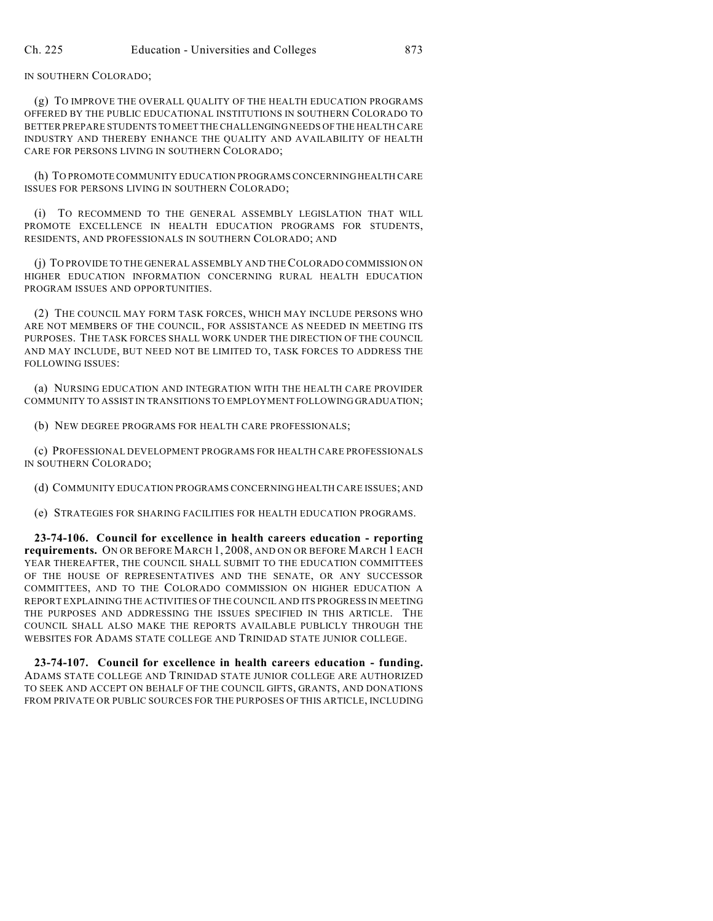IN SOUTHERN COLORADO;

(g) TO IMPROVE THE OVERALL QUALITY OF THE HEALTH EDUCATION PROGRAMS OFFERED BY THE PUBLIC EDUCATIONAL INSTITUTIONS IN SOUTHERN COLORADO TO BETTER PREPARE STUDENTS TO MEET THE CHALLENGING NEEDS OF THE HEALTH CARE INDUSTRY AND THEREBY ENHANCE THE QUALITY AND AVAILABILITY OF HEALTH CARE FOR PERSONS LIVING IN SOUTHERN COLORADO;

(h) TO PROMOTE COMMUNITY EDUCATION PROGRAMS CONCERNING HEALTH CARE ISSUES FOR PERSONS LIVING IN SOUTHERN COLORADO;

(i) TO RECOMMEND TO THE GENERAL ASSEMBLY LEGISLATION THAT WILL PROMOTE EXCELLENCE IN HEALTH EDUCATION PROGRAMS FOR STUDENTS, RESIDENTS, AND PROFESSIONALS IN SOUTHERN COLORADO; AND

(j) TO PROVIDE TO THE GENERAL ASSEMBLY AND THE COLORADO COMMISSION ON HIGHER EDUCATION INFORMATION CONCERNING RURAL HEALTH EDUCATION PROGRAM ISSUES AND OPPORTUNITIES.

(2) THE COUNCIL MAY FORM TASK FORCES, WHICH MAY INCLUDE PERSONS WHO ARE NOT MEMBERS OF THE COUNCIL, FOR ASSISTANCE AS NEEDED IN MEETING ITS PURPOSES. THE TASK FORCES SHALL WORK UNDER THE DIRECTION OF THE COUNCIL AND MAY INCLUDE, BUT NEED NOT BE LIMITED TO, TASK FORCES TO ADDRESS THE FOLLOWING ISSUES:

(a) NURSING EDUCATION AND INTEGRATION WITH THE HEALTH CARE PROVIDER COMMUNITY TO ASSIST IN TRANSITIONS TO EMPLOYMENT FOLLOWING GRADUATION;

(b) NEW DEGREE PROGRAMS FOR HEALTH CARE PROFESSIONALS;

(c) PROFESSIONAL DEVELOPMENT PROGRAMS FOR HEALTH CARE PROFESSIONALS IN SOUTHERN COLORADO;

(d) COMMUNITY EDUCATION PROGRAMS CONCERNING HEALTH CARE ISSUES; AND

(e) STRATEGIES FOR SHARING FACILITIES FOR HEALTH EDUCATION PROGRAMS.

**23-74-106. Council for excellence in health careers education - reporting requirements.** ON OR BEFORE MARCH 1, 2008, AND ON OR BEFORE MARCH 1 EACH YEAR THEREAFTER, THE COUNCIL SHALL SUBMIT TO THE EDUCATION COMMITTEES OF THE HOUSE OF REPRESENTATIVES AND THE SENATE, OR ANY SUCCESSOR COMMITTEES, AND TO THE COLORADO COMMISSION ON HIGHER EDUCATION A REPORT EXPLAINING THE ACTIVITIES OF THE COUNCIL AND ITS PROGRESS IN MEETING THE PURPOSES AND ADDRESSING THE ISSUES SPECIFIED IN THIS ARTICLE. THE COUNCIL SHALL ALSO MAKE THE REPORTS AVAILABLE PUBLICLY THROUGH THE WEBSITES FOR ADAMS STATE COLLEGE AND TRINIDAD STATE JUNIOR COLLEGE.

**23-74-107. Council for excellence in health careers education - funding.** ADAMS STATE COLLEGE AND TRINIDAD STATE JUNIOR COLLEGE ARE AUTHORIZED TO SEEK AND ACCEPT ON BEHALF OF THE COUNCIL GIFTS, GRANTS, AND DONATIONS FROM PRIVATE OR PUBLIC SOURCES FOR THE PURPOSES OF THIS ARTICLE, INCLUDING